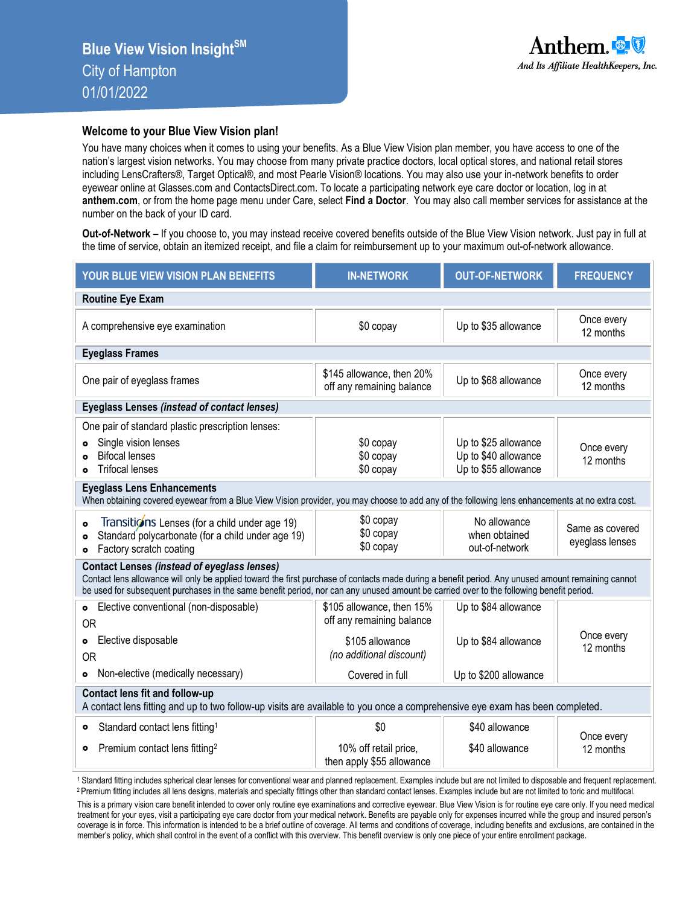## **Welcome to your Blue View Vision plan!**

You have many choices when it comes to using your benefits. As a Blue View Vision plan member, you have access to one of the nation's largest vision networks. You may choose from many private practice doctors, local optical stores, and national retail stores including LensCrafters®, Target Optical®, and most Pearle Vision® locations. You may also use your in-network benefits to order eyewear online at Glasses.com and ContactsDirect.com. To locate a participating network eye care doctor or location, log in at **anthem.com**, or from the home page menu under Care, select **Find a Doctor**. You may also call member services for assistance at the number on the back of your ID card.

**Out-of-Network –** If you choose to, you may instead receive covered benefits outside of the Blue View Vision network. Just pay in full at the time of service, obtain an itemized receipt, and file a claim for reimbursement up to your maximum out-of-network allowance.

| YOUR BLUE VIEW VISION PLAN BENEFITS                                                                                                                                                                                                                                                                                                                 | <b>IN-NETWORK</b>                                      | <b>OUT-OF-NETWORK</b>                                                | <b>FREQUENCY</b>                   |  |  |  |  |  |  |
|-----------------------------------------------------------------------------------------------------------------------------------------------------------------------------------------------------------------------------------------------------------------------------------------------------------------------------------------------------|--------------------------------------------------------|----------------------------------------------------------------------|------------------------------------|--|--|--|--|--|--|
| <b>Routine Eye Exam</b>                                                                                                                                                                                                                                                                                                                             |                                                        |                                                                      |                                    |  |  |  |  |  |  |
| A comprehensive eye examination                                                                                                                                                                                                                                                                                                                     | \$0 copay                                              | Up to \$35 allowance                                                 | Once every<br>12 months            |  |  |  |  |  |  |
| <b>Eyeglass Frames</b>                                                                                                                                                                                                                                                                                                                              |                                                        |                                                                      |                                    |  |  |  |  |  |  |
| One pair of eyeglass frames                                                                                                                                                                                                                                                                                                                         | \$145 allowance, then 20%<br>off any remaining balance | Up to \$68 allowance                                                 | Once every<br>12 months            |  |  |  |  |  |  |
| Eyeglass Lenses (instead of contact lenses)                                                                                                                                                                                                                                                                                                         |                                                        |                                                                      |                                    |  |  |  |  |  |  |
| One pair of standard plastic prescription lenses:<br>Single vision lenses<br><b>Bifocal lenses</b><br><b>Trifocal lenses</b>                                                                                                                                                                                                                        | \$0 copay<br>\$0 copay<br>\$0 copay                    | Up to \$25 allowance<br>Up to \$40 allowance<br>Up to \$55 allowance | Once every<br>12 months            |  |  |  |  |  |  |
| <b>Eyeglass Lens Enhancements</b><br>When obtaining covered eyewear from a Blue View Vision provider, you may choose to add any of the following lens enhancements at no extra cost.                                                                                                                                                                |                                                        |                                                                      |                                    |  |  |  |  |  |  |
| Transitions Lenses (for a child under age 19)<br>$\bullet$<br>Standard polycarbonate (for a child under age 19)<br>$\bullet$<br>Factory scratch coating<br>$\bullet$                                                                                                                                                                                | \$0 copay<br>\$0 copay<br>\$0 copay                    | No allowance<br>when obtained<br>out-of-network                      | Same as covered<br>eyeglass lenses |  |  |  |  |  |  |
| <b>Contact Lenses (instead of eyeglass lenses)</b><br>Contact lens allowance will only be applied toward the first purchase of contacts made during a benefit period. Any unused amount remaining cannot<br>be used for subsequent purchases in the same benefit period, nor can any unused amount be carried over to the following benefit period. |                                                        |                                                                      |                                    |  |  |  |  |  |  |
| Elective conventional (non-disposable)<br>$\bullet$<br><b>OR</b>                                                                                                                                                                                                                                                                                    | \$105 allowance, then 15%<br>off any remaining balance | Up to \$84 allowance                                                 |                                    |  |  |  |  |  |  |
| <b>o</b> Elective disposable<br><b>OR</b>                                                                                                                                                                                                                                                                                                           | \$105 allowance<br>(no additional discount)            | Up to \$84 allowance                                                 | Once every<br>12 months            |  |  |  |  |  |  |
| Non-elective (medically necessary)<br>$\bullet$                                                                                                                                                                                                                                                                                                     | Covered in full                                        | Up to \$200 allowance                                                |                                    |  |  |  |  |  |  |
| Contact lens fit and follow-up<br>A contact lens fitting and up to two follow-up visits are available to you once a comprehensive eye exam has been completed.                                                                                                                                                                                      |                                                        |                                                                      |                                    |  |  |  |  |  |  |
| Standard contact lens fitting <sup>1</sup><br>$\bullet$                                                                                                                                                                                                                                                                                             | \$0                                                    | \$40 allowance                                                       | Once every                         |  |  |  |  |  |  |
| Premium contact lens fitting <sup>2</sup><br>۰                                                                                                                                                                                                                                                                                                      | 10% off retail price,<br>then apply \$55 allowance     | \$40 allowance                                                       | 12 months                          |  |  |  |  |  |  |

<sup>1</sup> Standard fitting includes spherical clear lenses for conventional wear and planned replacement. Examples include but are not limited to disposable and frequent replacement. <sup>2</sup>Premium fitting includes all lens designs, materials and specialty fittings other than standard contact lenses. Examples include but are not limited to toric and multifocal.

This is a primary vision care benefit intended to cover only routine eye examinations and corrective eyewear. Blue View Vision is for routine eye care only. If you need medical treatment for your eyes, visit a participating eye care doctor from your medical network. Benefits are payable only for expenses incurred while the group and insured person's coverage is in force. This information is intended to be a brief outline of coverage. All terms and conditions of coverage, including benefits and exclusions, are contained in the member's policy, which shall control in the event of a conflict with this overview. This benefit overview is only one piece of your entire enrollment package.